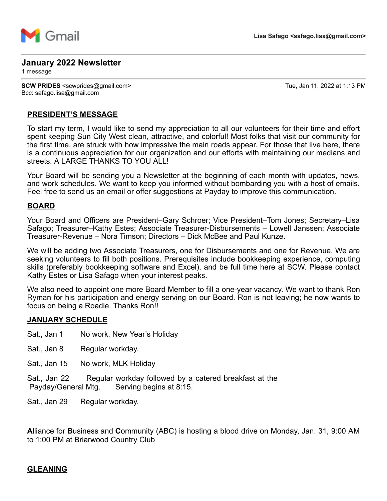

### **January 2022 Newsletter**

1 message

**SCW PRIDES** <scwprides@gmail.com> Tue, Jan 11, 2022 at 1:13 PM Bcc: safago.lisa@gmail.com

### **PRESIDENT'S MESSAGE**

To start my term, I would like to send my appreciation to all our volunteers for their time and effort spent keeping Sun City West clean, attractive, and colorful! Most folks that visit our community for the first time, are struck with how impressive the main roads appear. For those that live here, there is a continuous appreciation for our organization and our efforts with maintaining our medians and streets. A LARGE THANKS TO YOU ALL!

Your Board will be sending you a Newsletter at the beginning of each month with updates, news, and work schedules. We want to keep you informed without bombarding you with a host of emails. Feel free to send us an email or offer suggestions at Payday to improve this communication.

#### **BOARD**

Your Board and Officers are President–Gary Schroer; Vice President–Tom Jones; Secretary–Lisa Safago; Treasurer–Kathy Estes; Associate Treasurer-Disbursements – Lowell Janssen; Associate Treasurer-Revenue – Nora Timson; Directors – Dick McBee and Paul Kunze.

We will be adding two Associate Treasurers, one for Disbursements and one for Revenue. We are seeking volunteers to fill both positions. Prerequisites include bookkeeping experience, computing skills (preferably bookkeeping software and Excel), and be full time here at SCW. Please contact Kathy Estes or Lisa Safago when your interest peaks.

We also need to appoint one more Board Member to fill a one-year vacancy. We want to thank Ron Ryman for his participation and energy serving on our Board. Ron is not leaving; he now wants to focus on being a Roadie. Thanks Ron!!

#### **JANUARY SCHEDULE**

- Sat., Jan 1 No work, New Year's Holiday
- Sat., Jan 8 Regular workday.
- Sat., Jan 15 No work, MLK Holiday

Sat., Jan 22 Regular workday followed by a catered breakfast at the Payday/General Mtg. Serving begins at 8:15.

Sat., Jan 29 Regular workday.

**A**lliance for **B**usiness and **C**ommunity (ABC) is hosting a blood drive on Monday, Jan. 31, 9:00 AM to 1:00 PM at Briarwood Country Club

### **GLEANING**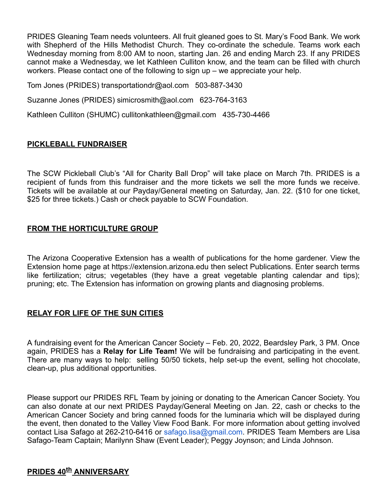PRIDES Gleaning Team needs volunteers. All fruit gleaned goes to St. Mary's Food Bank. We work with Shepherd of the Hills Methodist Church. They co-ordinate the schedule. Teams work each Wednesday morning from 8:00 AM to noon, starting Jan. 26 and ending March 23. If any PRIDES cannot make a Wednesday, we let Kathleen Culliton know, and the team can be filled with church workers. Please contact one of the following to sign up – we appreciate your help.

Tom Jones (PRIDES) transportationdr@aol.com 503-887-3430

Suzanne Jones (PRIDES) simicrosmith@aol.com 623-764-3163

Kathleen Culliton (SHUMC) cullitonkathleen@gmail.com 435-730-4466

## **PICKLEBALL FUNDRAISER**

The SCW Pickleball Club's "All for Charity Ball Drop" will take place on March 7th. PRIDES is a recipient of funds from this fundraiser and the more tickets we sell the more funds we receive. Tickets will be available at our Payday/General meeting on Saturday, Jan. 22. (\$10 for one ticket, \$25 for three tickets.) Cash or check payable to SCW Foundation.

## **FROM THE HORTICULTURE GROUP**

The Arizona Cooperative Extension has a wealth of publications for the home gardener. View the Extension home page at https://extension.arizona.edu then select Publications. Enter search terms like fertilization; citrus; vegetables (they have a great vegetable planting calendar and tips); pruning; etc. The Extension has information on growing plants and diagnosing problems.

### **RELAY FOR LIFE OF THE SUN CITIES**

A fundraising event for the American Cancer Society – Feb. 20, 2022, Beardsley Park, 3 PM. Once again, PRIDES has a **Relay for Life Team!** We will be fundraising and participating in the event. There are many ways to help: selling 50/50 tickets, help set-up the event, selling hot chocolate, clean-up, plus additional opportunities.

Please support our PRIDES RFL Team by joining or donating to the American Cancer Society. You can also donate at our next PRIDES Payday/General Meeting on Jan. 22, cash or checks to the American Cancer Society and bring canned foods for the luminaria which will be displayed during the event, then donated to the Valley View Food Bank. For more information about getting involved contact Lisa Safago at 262-210-6416 or [safago.lisa@gmail.com.](mailto:safago.lisa@gmail.com) PRIDES Team Members are Lisa Safago-Team Captain; Marilynn Shaw (Event Leader); Peggy Joynson; and Linda Johnson.

# **PRIDES 40th ANNIVERSARY**